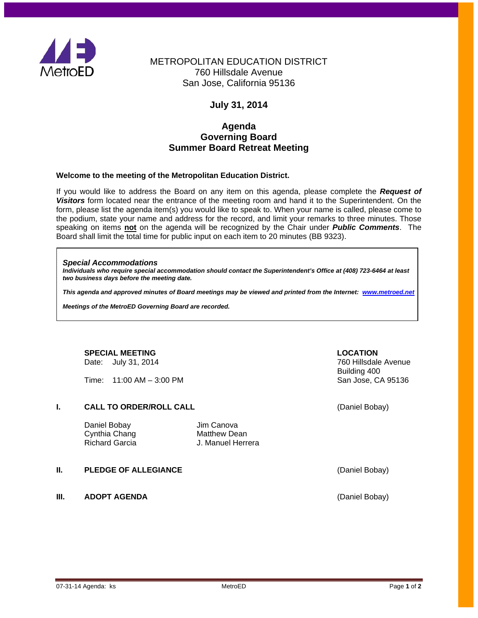

# METROPOLITAN EDUCATION DISTRICT 760 Hillsdale Avenue San Jose, California 95136

# **July 31, 2014**

## **Agenda Governing Board Summer Board Retreat Meeting**

## **Welcome to the meeting of the Metropolitan Education District.**

If you would like to address the Board on any item on this agenda, please complete the *Request of Visitors* form located near the entrance of the meeting room and hand it to the Superintendent. On the form, please list the agenda item(s) you would like to speak to. When your name is called, please come to the podium, state your name and address for the record, and limit your remarks to three minutes. Those speaking on items **not** on the agenda will be recognized by the Chair under *Public Comments*. The Board shall limit the total time for public input on each item to 20 minutes (BB 9323).

### *Special Accommodations*

*Individuals who require special accommodation should contact the Superintendent's Office at (408) 723-6464 at least two business days before the meeting date.*

*This agenda and approved minutes of Board meetings may be viewed and printed from the Internet: [www.metroed.net](http://www.metroed.net/)*

*Meetings of the MetroED Governing Board are recorded.*

### **SPECIAL MEETING LOCATION** Date: July 31, 2014

 $Time: 11:00 AM - 3:00 PM$ 

## **I. CALL TO ORDER/ROLL CALL CALL CALL CALL CALL CALL CALL CALL CALL CALL CALL CALL CALL CALL CALL CALL CALL CALL CALL CALL CALL CALL CALL CALL CALL CALL CALL CALL C**

| Daniel Bobay   |  |
|----------------|--|
| Cynthia Chang  |  |
| Richard Garcia |  |

Jim Canova Matthew Dean J. Manuel Herrera

## **II. PLEDGE OF ALLEGIANCE CONSIDERING A CONSIDERING (Daniel Bobay)**

**III. ADOPT AGENDA** (Daniel Bobay)

Building 400<br>San Jose, CA 95136